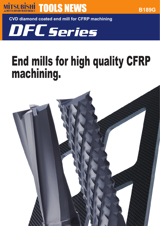

**CVD diamond coated end mill for CFRP machining**

DFCSeries

# End mills for high quality CFRP machining.

**B189G**

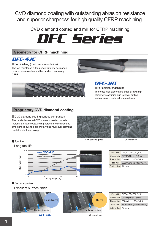CVD diamond coating with outstanding abrasion resistance and superior sharpness for high quality CFRP machining.

CVD diamond coated end mill for CFRP machining



# **Geometry for CFRP machining**

DFC-4JC

**For finishing (First recommendation)** The low resistance cutting edge with low helix angle reduces delamination and burrs when machining CFRP.





DFC-JRT **For efficient machining** The cross-nick type cutting edge allows high efficiency machining due to lower cutting resistance and reduced temperatures.

# **Proprietary CVD diamond coating**

**CVD diamond coating surface comparison** The newly developed CVD diamond coated carbide material achieves outstanding abrasion resistance and smoothness due to a proprietary fine multilayer diamond crystal control technology.



New coating grade



Conventional

| ●Tool life      |     |                                    |    |
|-----------------|-----|------------------------------------|----|
| Long tool life  |     |                                    |    |
|                 | 0.3 | $-$ DFC-4JC                        |    |
| Flank wear (mm) | 0.2 | Conventional                       |    |
|                 | 0.1 |                                    |    |
|                 | 0   | 10<br>5<br>0<br>Cutting length (m) | 15 |

|                        | End mill DFC4JCD1000 (ø10)                  |
|------------------------|---------------------------------------------|
|                        | Work material CFRP (Thick: 5.3mm)           |
|                        | Revolution 6400min <sup>-1</sup> (200m/min) |
|                        | Feed rate 800mm/min (0.03mm/tooth)          |
| Cutting fluid Air blow |                                             |

● Burr comparison

Excellent surface finish



DFC-4JC



End mill Work material Revolution Feed rate Cutting fluid DFC4JCD1000 (ø10) CFRP (Thick : 6mm) 6000min-1 (188m/min) 750mm/min (0.03mm/tooth) Air blow

Conventional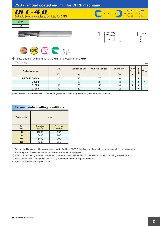

● 4 flute end mill with original CVD diamond coating for CFRP machining.

| machining.<br>Unit: $mm$ |                |                      |                       |                   |                      |           |             |
|--------------------------|----------------|----------------------|-----------------------|-------------------|----------------------|-----------|-------------|
| <b>Order Number</b>      | Dia.           | <b>Length of Cut</b> | <b>Overall Length</b> | <b>Shank Dia.</b> | I No. of I<br>Flutes | čK<br>Sto | <b>Type</b> |
|                          | D <sub>1</sub> | ap                   | L1                    | D <sub>4</sub>    | N                    |           |             |
| DFC4JCD0600              | 6              | 20                   | 70                    | 6                 | 4                    |           |             |
| <b>D0800</b>             | 8              | 30                   | 80                    | 8                 | 4                    |           |             |
| D <sub>1000</sub>        | 10             | 30                   | 90                    | 10                | 4                    |           |             |
| D1200                    | 12             | 30                   | 100                   | 12                | 4                    |           |             |

(Note) Please contact Mitsubishi Materials for geometries and through coolant types other than standard.

## **Recommended cutting conditions**

| Work material | <b>CFRP</b>                |                       |  |  |
|---------------|----------------------------|-----------------------|--|--|
| Dia.<br>(mm)  | Revolution<br>$(min^{-1})$ | Feed rate<br>(mm/min) |  |  |
| 6             | 11000                      | 950                   |  |  |
| 8             | 8000                       | 780                   |  |  |
| 10            | 6400                       | 700                   |  |  |
| 12            | 5300                       | 650                   |  |  |

1) Cutting conditions may differ considerably due to the kind of CFRP, the rigidity of the machine, or the clamping and geometry of the workpiece. Please use the above table as a standard starting point.

2) When high machining accuracy is needed, or large burss or delamination occurs. We recommend reducing the feed rate.

3) When the depth of cut is greater than 0.8D1, we recommend reducing the feed rate.

4) Please take precautions against dust.